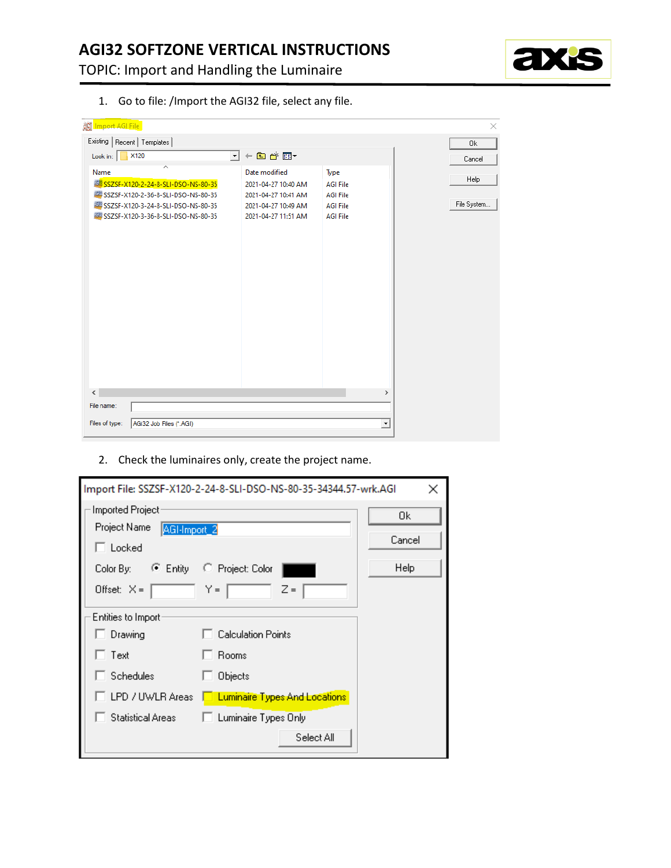TOPIC: Import and Handling the Luminaire



1. Go to file: /Import the AGI32 file, select any file.

| ∭ Import AGI File                               |                       |                 |             |
|-------------------------------------------------|-----------------------|-----------------|-------------|
| Existing   Recent   Templates                   |                       |                 | 0k          |
| X120<br>Look in:                                | ←自診囲▼<br>$\mathbf{r}$ |                 | Cancel      |
| $\lambda$<br>Name                               | Date modified         | Type            |             |
| <b>MARIO SSZSF-X120-2-24-8-SLI-DSO-NS-80-35</b> | 2021-04-27 10:40 AM   | <b>AGI File</b> | Help        |
| SSZSF-X120-2-36-8-SLI-DSO-NS-80-35              | 2021-04-27 10:41 AM   | <b>AGI File</b> |             |
| SSZSF-X120-3-24-8-SLI-DSO-NS-80-35              | 2021-04-27 10:49 AM   | <b>AGI File</b> | File System |
| 55-80-35 KBI SSZSF-X120-3-36-8-SLI-DSO-NS-80-35 | 2021-04-27 11:51 AM   | <b>AGI File</b> |             |
|                                                 |                       |                 |             |
|                                                 |                       |                 |             |
|                                                 |                       |                 |             |
|                                                 |                       |                 |             |
|                                                 |                       |                 |             |
|                                                 |                       |                 |             |
|                                                 |                       |                 |             |
|                                                 |                       |                 |             |
|                                                 |                       |                 |             |
|                                                 |                       |                 |             |
|                                                 |                       |                 |             |
|                                                 |                       |                 |             |
|                                                 |                       |                 |             |
|                                                 |                       |                 |             |
|                                                 |                       |                 |             |
| $\hat{~}$                                       |                       | $\rightarrow$   |             |
| File name:                                      |                       |                 |             |
| Files of type:<br>AGi32 Job Files (*.AGI)       |                       | ≛               |             |
|                                                 |                       |                 |             |

2. Check the luminaires only, create the project name.

| Import File: SSZSF-X120-2-24-8-SLI-DSO-NS-80-35-34344.57-wrk.AGI<br>×                                                 |                                                                                                                             |                      |  |  |  |
|-----------------------------------------------------------------------------------------------------------------------|-----------------------------------------------------------------------------------------------------------------------------|----------------------|--|--|--|
| Imported Project<br>Project Name<br>AGI-Import_2<br>$\sqcap$ Locked<br>$\bullet$ Entity<br>Color By:<br>Offset: $X =$ | C Project: Color<br>$Y =$<br>$Z =$                                                                                          | 0k<br>Cancel<br>Help |  |  |  |
| Entities to Import:<br>Drawing<br>Text<br><b>Schedules</b><br>LPD / UWLR Areas<br><b>Statistical Areas</b>            | <b>Calculation Points</b><br>Rooms<br>Objects<br><b>Luminaire Types And Locations</b><br>Luminaire Types Only<br>Select All |                      |  |  |  |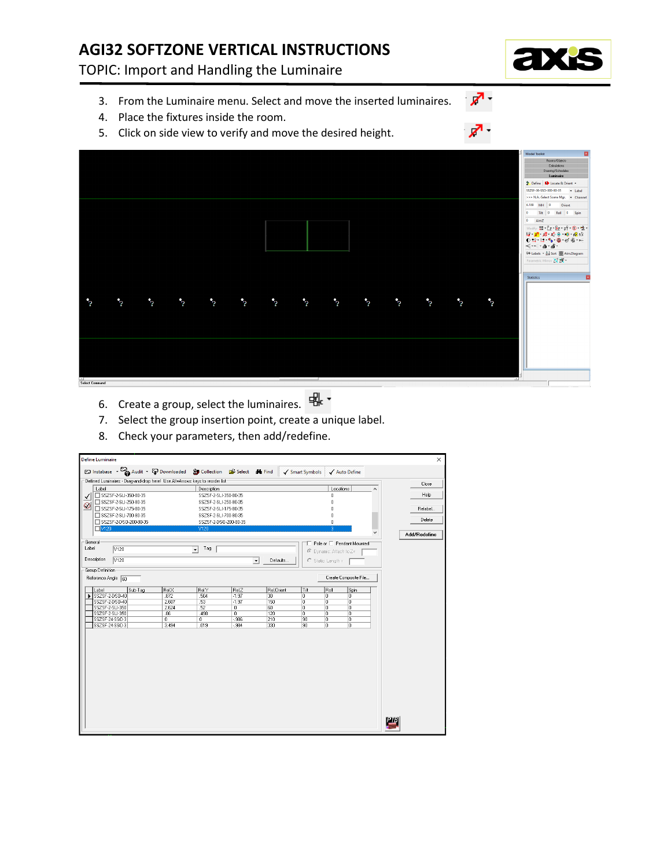# **AGI32 SOFTZONE VERTICAL INSTRUCTIONS**

TOPIC: Import and Handling the Luminaire

- 3. From the Luminaire menu. Select and move the inserted luminaires.
- 4. Place the fixtures inside the room.
- 5. Click on side view to verify and move the desired height.



- ѭ -6. Create a group, select the luminaires.
- 7. Select the group insertion point, create a unique label.
- 8. Check your parameters, then add/redefine.

| <b>Define Luminaire</b> |                                                |         |                                                                                                                   |                                                |                          |                      |               |         |                           |        |          |     | $\times$     |
|-------------------------|------------------------------------------------|---------|-------------------------------------------------------------------------------------------------------------------|------------------------------------------------|--------------------------|----------------------|---------------|---------|---------------------------|--------|----------|-----|--------------|
|                         |                                                |         | $\odot$ Instabase $\sim$ $\odot$ Audit $\sim$ $\odot$ Downloaded $\odot$ Collection $\odot$ Select $\bullet$ Find |                                                |                          |                      | Smart Symbols |         | √ Auto Define             |        |          |     |              |
|                         |                                                |         | Defined Luminaires - Drag-and-drop here! Use Alt+Arrows keys to reorder list                                      |                                                |                          |                      |               |         |                           |        |          |     | Close        |
| Label                   |                                                |         |                                                                                                                   | Description                                    |                          |                      |               |         | Locations                 |        | $\hat{}$ |     |              |
| √                       | SSZSF-2-SLI-350-80-35                          |         |                                                                                                                   | SSZSF-2-SLI-350-80-35                          |                          |                      |               |         | 0                         |        |          |     | Help         |
| $\otimes$               | SSZSF-2-SLI-250-80-35                          |         |                                                                                                                   | SSZSF-2-SLI-250-80-35                          |                          |                      |               |         | $\bf{0}$                  |        |          |     |              |
|                         | SSZSF-2-SLI-175-80-35                          |         |                                                                                                                   | SSZSF-2-SLI-175-80-35                          |                          |                      |               |         | $\theta$                  |        |          |     | Relabel      |
|                         | SSZSF-2-SLI-700-80-35<br>SSZSF-2-DSD-200-80-35 |         |                                                                                                                   | SSZSF-2-SLI-700-80-35<br>SSZSF-2-DSD-200-80-35 |                          |                      |               |         | 0<br>0                    |        |          |     | Delete       |
| N120                    |                                                |         |                                                                                                                   | V120                                           |                          |                      |               |         | $\overline{3}$            |        |          |     |              |
|                         |                                                |         |                                                                                                                   |                                                |                          |                      |               |         |                           |        |          |     | Add/Redefine |
| General                 |                                                |         |                                                                                                                   |                                                |                          |                      |               |         | Pole or E Pendant Mounted |        |          |     |              |
| Label                   | V120                                           |         |                                                                                                                   | Tag<br>$\overline{\mathbf{r}}$                 |                          |                      |               |         | C Dynamic: Attach to Z=   |        |          |     |              |
| Description             | $\sqrt{120}$                                   |         |                                                                                                                   |                                                |                          | $\blacktriangledown$ | Defaults      |         | $C$ Static: Length =      |        |          |     |              |
|                         |                                                |         |                                                                                                                   |                                                |                          |                      |               |         |                           |        |          |     |              |
| Group Definition        |                                                |         |                                                                                                                   |                                                |                          |                      |               |         |                           |        |          |     |              |
| Reference Angle 60      |                                                |         |                                                                                                                   |                                                |                          |                      |               |         | Create Composite File     |        |          |     |              |
| Label                   |                                                | Sub-Tag | RelX                                                                                                              | Rel.Y                                          | RelZ                     | Rel.Orient           |               | Tilt    | Roll                      | Spin   |          |     |              |
|                         | SSZSF-2-DSD-40                                 |         | .872                                                                                                              | 504                                            | $-1.97$                  | 30                   |               | ō       | Ιū                        | 'n     |          |     |              |
|                         | SSZSF-2-DSO-40                                 |         | 2.607                                                                                                             | 53                                             | $-1.97$                  | 150                  |               | ō       | 0                         | o      |          |     |              |
|                         | SSZSF-2-SLI-350                                |         | 2.624                                                                                                             | .52                                            | $\overline{0}$           | 60                   |               | ō       | o                         | ō      |          |     |              |
|                         | SSZSF-2-SLI-350<br>SSZSF-24-SSD-3              |         | .86<br>$\overline{0}$                                                                                             | .498<br>$\overline{0}$                         | $\overline{0}$<br>$-986$ | 120<br>210           |               | ō<br>90 | o<br>o                    | o<br>o |          |     |              |
|                         | SSZSF-24-SSD-3                                 |         | 3.494                                                                                                             | .019                                           | $-984$                   | 330                  |               | 90      | o                         | o      |          |     |              |
|                         |                                                |         |                                                                                                                   |                                                |                          |                      |               |         |                           |        |          |     |              |
|                         |                                                |         |                                                                                                                   |                                                |                          |                      |               |         |                           |        |          |     |              |
|                         |                                                |         |                                                                                                                   |                                                |                          |                      |               |         |                           |        |          |     |              |
|                         |                                                |         |                                                                                                                   |                                                |                          |                      |               |         |                           |        |          |     |              |
|                         |                                                |         |                                                                                                                   |                                                |                          |                      |               |         |                           |        |          |     |              |
|                         |                                                |         |                                                                                                                   |                                                |                          |                      |               |         |                           |        |          |     |              |
|                         |                                                |         |                                                                                                                   |                                                |                          |                      |               |         |                           |        |          |     |              |
|                         |                                                |         |                                                                                                                   |                                                |                          |                      |               |         |                           |        |          |     |              |
|                         |                                                |         |                                                                                                                   |                                                |                          |                      |               |         |                           |        |          |     |              |
|                         |                                                |         |                                                                                                                   |                                                |                          |                      |               |         |                           |        |          |     |              |
|                         |                                                |         |                                                                                                                   |                                                |                          |                      |               |         |                           |        |          |     |              |
|                         |                                                |         |                                                                                                                   |                                                |                          |                      |               |         |                           |        |          |     |              |
|                         |                                                |         |                                                                                                                   |                                                |                          |                      |               |         |                           |        |          | РТВ |              |
|                         |                                                |         |                                                                                                                   |                                                |                          |                      |               |         |                           |        |          |     |              |
|                         |                                                |         |                                                                                                                   |                                                |                          |                      |               |         |                           |        |          |     |              |



- هر

↗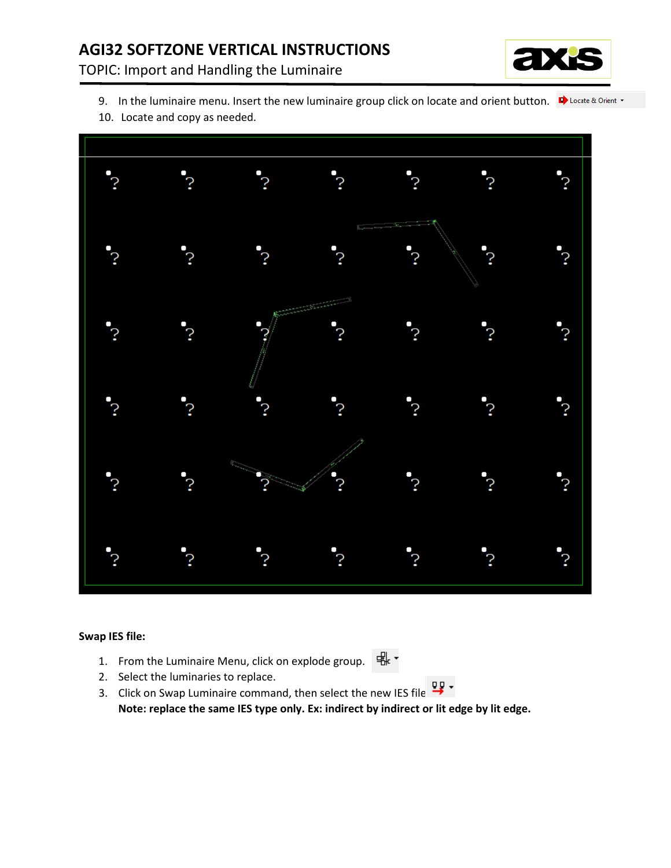# **AGI32 SOFTZONE VERTICAL INSTRUCTIONS**

TOPIC: Import and Handling the Luminaire



- 9. In the luminaire menu. Insert the new luminaire group click on locate and orient button.  $\Box$  Locate & Orient  $\cdot$
- 10. Locate and copy as needed.



#### **Swap IES file:**

- ѭ∙ 1. From the Luminaire Menu, click on explode group.
- 2. Select the luminaries to replace.
- 묘~ 3. Click on Swap Luminaire command, then select the new IES file. **Note: replace the same IES type only. Ex: indirect by indirect or lit edge by lit edge.**